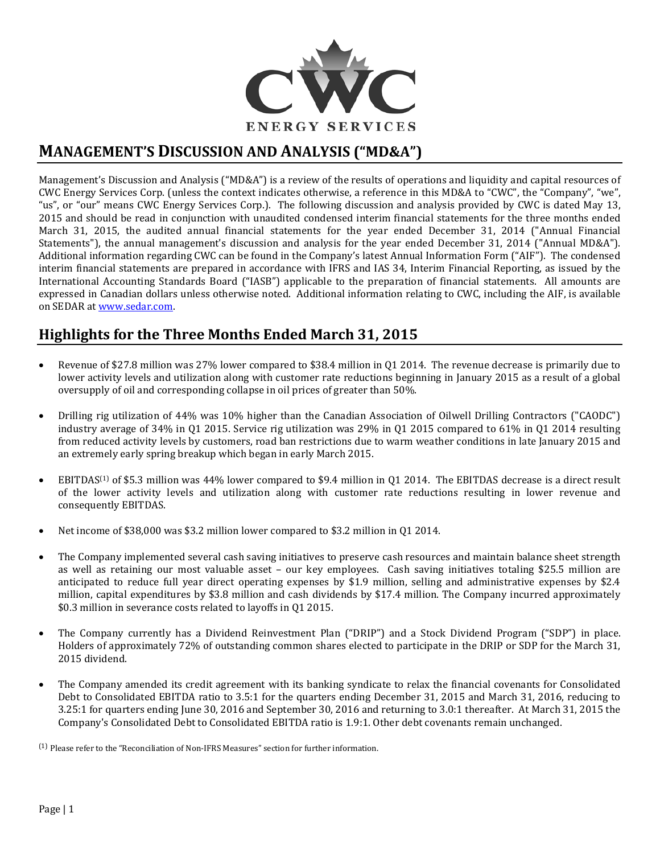

# **MANAGEMENT'S DISCUSSION AND ANALYSIS ("MD&A")**

Management's Discussion and Analysis ("MD&A") is a review of the results of operations and liquidity and capital resources of CWC Energy Services Corp. (unless the context indicates otherwise, a reference in this MD&A to "CWC", the "Company", "we", "us", or "our" means CWC Energy Services Corp.). The following discussion and analysis provided by CWC is dated May 13, 2015 and should be read in conjunction with unaudited condensed interim financial statements for the three months ended March 31, 2015, the audited annual financial statements for the year ended December 31, 2014 ("Annual Financial Statements"), the annual management's discussion and analysis for the year ended December 31, 2014 ("Annual MD&A"). Additional information regarding CWC can be found in the Company's latest Annual Information Form ("AIF"). The condensed interim financial statements are prepared in accordance with IFRS and IAS 34, Interim Financial Reporting, as issued by the International Accounting Standards Board ("IASB") applicable to the preparation of financial statements. All amounts are expressed in Canadian dollars unless otherwise noted. Additional information relating to CWC, including the AIF, is available on SEDAR a[t www.sedar.com.](http://www.sedar.com/)

## **Highlights for the Three Months Ended March 31, 2015**

- Revenue of \$27.8 million was 27% lower compared to \$38.4 million in Q1 2014. The revenue decrease is primarily due to lower activity levels and utilization along with customer rate reductions beginning in January 2015 as a result of a global oversupply of oil and corresponding collapse in oil prices of greater than 50%.
- Drilling rig utilization of 44% was 10% higher than the Canadian Association of Oilwell Drilling Contractors ("CAODC") industry average of 34% in Q1 2015. Service rig utilization was 29% in Q1 2015 compared to 61% in Q1 2014 resulting from reduced activity levels by customers, road ban restrictions due to warm weather conditions in late January 2015 and an extremely early spring breakup which began in early March 2015.
- $\bullet$  EBITDAS<sup>(1)</sup> of \$5.3 million was 44% lower compared to \$9.4 million in Q1 2014. The EBITDAS decrease is a direct result of the lower activity levels and utilization along with customer rate reductions resulting in lower revenue and consequently EBITDAS.
- Net income of \$38,000 was \$3.2 million lower compared to \$3.2 million in Q1 2014.
- The Company implemented several cash saving initiatives to preserve cash resources and maintain balance sheet strength as well as retaining our most valuable asset – our key employees. Cash saving initiatives totaling \$25.5 million are anticipated to reduce full year direct operating expenses by \$1.9 million, selling and administrative expenses by \$2.4 million, capital expenditures by \$3.8 million and cash dividends by \$17.4 million. The Company incurred approximately \$0.3 million in severance costs related to layoffs in Q1 2015.
- The Company currently has a Dividend Reinvestment Plan ("DRIP") and a Stock Dividend Program ("SDP") in place. Holders of approximately 72% of outstanding common shares elected to participate in the DRIP or SDP for the March 31, 2015 dividend.
- The Company amended its credit agreement with its banking syndicate to relax the financial covenants for Consolidated Debt to Consolidated EBITDA ratio to 3.5:1 for the quarters ending December 31, 2015 and March 31, 2016, reducing to 3.25:1 for quarters ending June 30, 2016 and September 30, 2016 and returning to 3.0:1 thereafter. At March 31, 2015 the Company's Consolidated Debt to Consolidated EBITDA ratio is 1.9:1. Other debt covenants remain unchanged.

(1) Please refer to the "Reconciliation of Non-IFRS Measures" section for further information.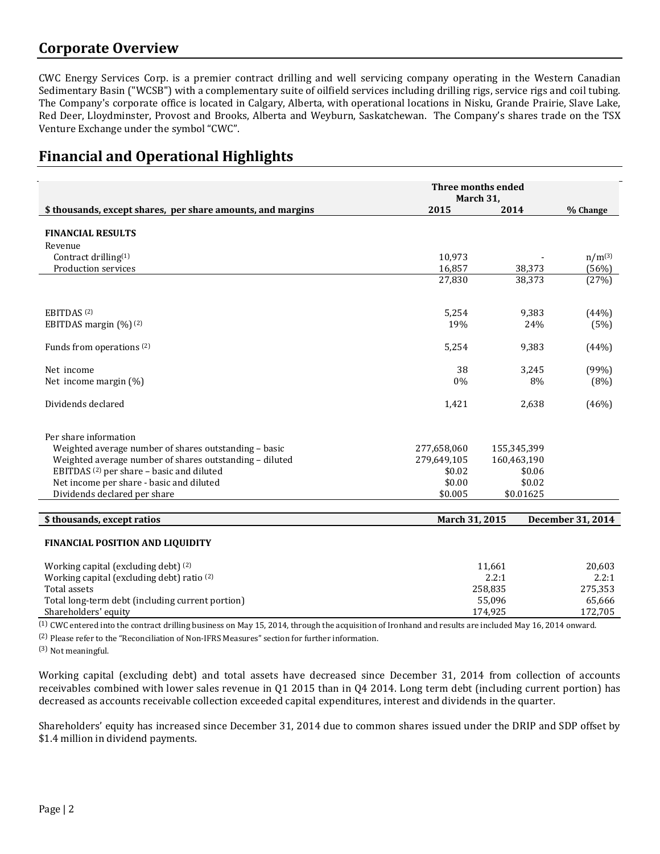### **Corporate Overview**

CWC Energy Services Corp. is a premier contract drilling and well servicing company operating in the Western Canadian Sedimentary Basin ("WCSB") with a complementary suite of oilfield services including drilling rigs, service rigs and coil tubing. The Company's corporate office is located in Calgary, Alberta, with operational locations in Nisku, Grande Prairie, Slave Lake, Red Deer, Lloydminster, Provost and Brooks, Alberta and Weyburn, Saskatchewan. The Company's shares trade on the TSX Venture Exchange under the symbol "CWC".

### **Financial and Operational Highlights**

|                                                             |                | <b>Three months ended</b> |                   |  |  |  |  |
|-------------------------------------------------------------|----------------|---------------------------|-------------------|--|--|--|--|
|                                                             |                | March 31,                 |                   |  |  |  |  |
| \$ thousands, except shares, per share amounts, and margins | 2015           | 2014                      | % Change          |  |  |  |  |
| <b>FINANCIAL RESULTS</b>                                    |                |                           |                   |  |  |  |  |
| Revenue                                                     |                |                           |                   |  |  |  |  |
| Contract drilling <sup>(1)</sup>                            | 10,973         |                           | $n/m^{(3)}$       |  |  |  |  |
| Production services                                         | 16,857         | 38,373                    | (56%)             |  |  |  |  |
|                                                             | 27,830         | 38,373                    | (27%)             |  |  |  |  |
|                                                             |                |                           |                   |  |  |  |  |
| EBITDAS <sup>(2)</sup>                                      | 5,254          |                           | 9,383<br>(44%)    |  |  |  |  |
| EBITDAS margin $(\%)$ <sup>(2)</sup>                        | 19%            |                           | 24%<br>(5%)       |  |  |  |  |
| Funds from operations <sup>(2)</sup>                        | 5,254          |                           | 9,383<br>(44%)    |  |  |  |  |
| Net income                                                  | 38             |                           | 3,245<br>(99%)    |  |  |  |  |
| Net income margin (%)                                       | 0%             |                           | 8%<br>(8%)        |  |  |  |  |
| Dividends declared                                          | 1,421          |                           | 2,638<br>(46%)    |  |  |  |  |
| Per share information                                       |                |                           |                   |  |  |  |  |
| Weighted average number of shares outstanding - basic       | 277,658,060    | 155,345,399               |                   |  |  |  |  |
| Weighted average number of shares outstanding - diluted     | 279,649,105    | 160,463,190               |                   |  |  |  |  |
| EBITDAS <sup>(2)</sup> per share - basic and diluted        | \$0.02         |                           | \$0.06            |  |  |  |  |
| Net income per share - basic and diluted                    | \$0.00         |                           | \$0.02            |  |  |  |  |
| Dividends declared per share                                | \$0.005        | \$0.01625                 |                   |  |  |  |  |
| \$ thousands, except ratios                                 | March 31, 2015 |                           | December 31, 2014 |  |  |  |  |
|                                                             |                |                           |                   |  |  |  |  |
| <b>FINANCIAL POSITION AND LIQUIDITY</b>                     |                |                           |                   |  |  |  |  |
| Working capital (excluding debt) (2)                        |                | 20,603                    |                   |  |  |  |  |
| Working capital (excluding debt) ratio <sup>(2)</sup>       |                | 2.2:1                     |                   |  |  |  |  |
| Total assets                                                |                | 258,835                   | 275,353           |  |  |  |  |
| Total long-term debt (including current portion)            |                | 55,096                    | 65,666<br>172,705 |  |  |  |  |
| Shareholders' equity                                        | 174,925        |                           |                   |  |  |  |  |

 $^{(1)}$  CWC entered into the contract drilling business on May 15, 2014, through the acquisition of Ironhand and results are included May 16, 2014 onward.

(2) Please refer to the "Reconciliation of Non-IFRS Measures" section for further information.

(3) Not meaningful.

Working capital (excluding debt) and total assets have decreased since December 31, 2014 from collection of accounts receivables combined with lower sales revenue in Q1 2015 than in Q4 2014. Long term debt (including current portion) has decreased as accounts receivable collection exceeded capital expenditures, interest and dividends in the quarter.

Shareholders' equity has increased since December 31, 2014 due to common shares issued under the DRIP and SDP offset by \$1.4 million in dividend payments.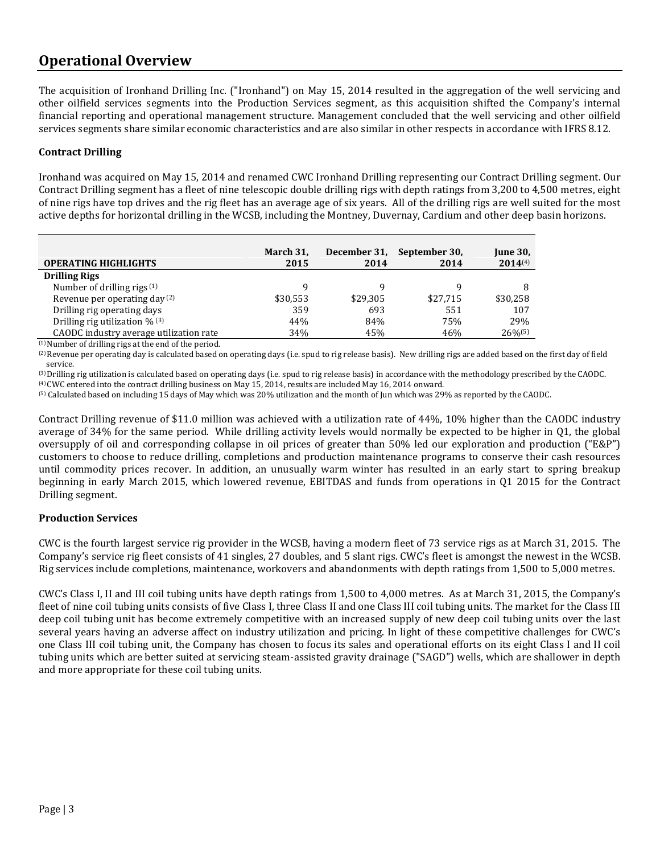## **Operational Overview**

The acquisition of Ironhand Drilling Inc. ("Ironhand") on May 15, 2014 resulted in the aggregation of the well servicing and other oilfield services segments into the Production Services segment, as this acquisition shifted the Company's internal financial reporting and operational management structure. Management concluded that the well servicing and other oilfield services segments share similar economic characteristics and are also similar in other respects in accordance with IFRS 8.12.

### **Contract Drilling**

Ironhand was acquired on May 15, 2014 and renamed CWC Ironhand Drilling representing our Contract Drilling segment. Our Contract Drilling segment has a fleet of nine telescopic double drilling rigs with depth ratings from 3,200 to 4,500 metres, eight of nine rigs have top drives and the rig fleet has an average age of six years. All of the drilling rigs are well suited for the most active depths for horizontal drilling in the WCSB, including the Montney, Duvernay, Cardium and other deep basin horizons.

| <b>OPERATING HIGHLIGHTS</b>              | March 31.<br>2015 | 2014     | December 31, September 30,<br>2014 | <b>June 30,</b><br>$2014^{(4)}$ |
|------------------------------------------|-------------------|----------|------------------------------------|---------------------------------|
| <b>Drilling Rigs</b>                     |                   |          |                                    |                                 |
| Number of drilling rigs (1)              | q                 | Q        |                                    | 8                               |
| Revenue per operating day <sup>(2)</sup> | \$30,553          | \$29,305 | \$27.715                           | \$30,258                        |
| Drilling rig operating days              | 359               | 693      | 551                                | 107                             |
| Drilling rig utilization $\%$ (3)        | 44%               | 84%      | 75%                                | 29%                             |
| CAODC industry average utilization rate  | 34%               | 45%      | 46%                                | $26%$ <sup>(5)</sup>            |

(1) Number of drilling rigs at the end of the period.

(2) Revenue per operating day is calculated based on operating days (i.e. spud to rig release basis). New drilling rigs are added based on the first day of field service.

<sup>(3)</sup> Drilling rig utilization is calculated based on operating days (i.e. spud to rig release basis) in accordance with the methodology prescribed by the CAODC.<br><sup>(4)</sup> CWC entered into the contract drilling business on May

(5) Calculated based on including 15 days of May which was 20% utilization and the month of Jun which was 29% as reported by the CAODC.

Contract Drilling revenue of \$11.0 million was achieved with a utilization rate of 44%, 10% higher than the CAODC industry average of 34% for the same period. While drilling activity levels would normally be expected to be higher in Q1, the global oversupply of oil and corresponding collapse in oil prices of greater than 50% led our exploration and production ("E&P") customers to choose to reduce drilling, completions and production maintenance programs to conserve their cash resources until commodity prices recover. In addition, an unusually warm winter has resulted in an early start to spring breakup beginning in early March 2015, which lowered revenue, EBITDAS and funds from operations in Q1 2015 for the Contract Drilling segment.

### **Production Services**

CWC is the fourth largest service rig provider in the WCSB, having a modern fleet of 73 service rigs as at March 31, 2015. The Company's service rig fleet consists of 41 singles, 27 doubles, and 5 slant rigs. CWC's fleet is amongst the newest in the WCSB. Rig services include completions, maintenance, workovers and abandonments with depth ratings from 1,500 to 5,000 metres.

CWC's Class I, II and III coil tubing units have depth ratings from 1,500 to 4,000 metres. As at March 31, 2015, the Company's fleet of nine coil tubing units consists of five Class I, three Class II and one Class III coil tubing units. The market for the Class III deep coil tubing unit has become extremely competitive with an increased supply of new deep coil tubing units over the last several years having an adverse affect on industry utilization and pricing. In light of these competitive challenges for CWC's one Class III coil tubing unit, the Company has chosen to focus its sales and operational efforts on its eight Class I and II coil tubing units which are better suited at servicing steam-assisted gravity drainage ("SAGD") wells, which are shallower in depth and more appropriate for these coil tubing units.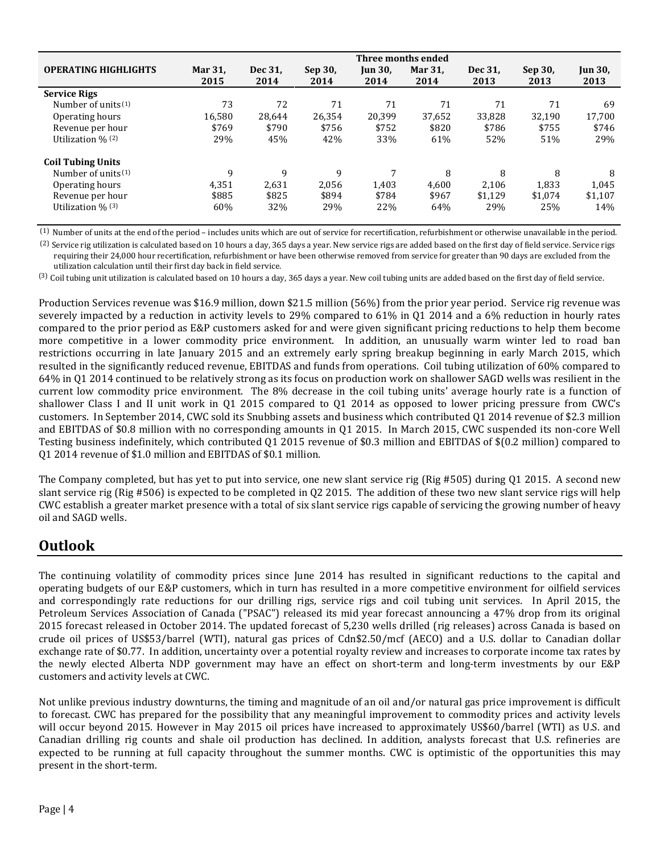|                             | Three months ended |         |         |                |         |         |         |                |
|-----------------------------|--------------------|---------|---------|----------------|---------|---------|---------|----------------|
| <b>OPERATING HIGHLIGHTS</b> | Mar 31,            | Dec 31, | Sep 30, | <b>Jun 30,</b> | Mar 31. | Dec 31, | Sep 30. | <b>Jun 30,</b> |
|                             | 2015               | 2014    | 2014    | 2014           | 2014    | 2013    | 2013    | 2013           |
| <b>Service Rigs</b>         |                    |         |         |                |         |         |         |                |
| Number of units $(1)$       | 73                 | 72      | 71      | 71             | 71      | 71      | 71      | 69             |
| Operating hours             | 16,580             | 28.644  | 26,354  | 20.399         | 37,652  | 33,828  | 32,190  | 17,700         |
| Revenue per hour            | \$769              | \$790   | \$756   | \$752          | \$820   | \$786   | \$755   | \$746          |
| Utilization $\%$ (2)        | 29%                | 45%     | 42%     | 33%            | 61%     | 52%     | 51%     | 29%            |
| <b>Coil Tubing Units</b>    |                    |         |         |                |         |         |         |                |
| Number of units (1)         | 9                  | 9       | 9       | 7              | 8       | 8       | 8       | 8              |
| Operating hours             | 4,351              | 2,631   | 2,056   | 1.403          | 4,600   | 2.106   | 1.833   | 1.045          |
| Revenue per hour            | \$885              | \$825   | \$894   | \$784          | \$967   | \$1.129 | \$1.074 | \$1,107        |
| Utilization $\%$ $(3)$      | 60%                | 32%     | 29%     | 22%            | 64%     | 29%     | 25%     | 14%            |

(1) Number of units at the end of the period – includes units which are out of service for recertification, refurbishment or otherwise unavailable in the period.

 $<sup>(2)</sup>$  Service rig utilization is calculated based on 10 hours a day, 365 days a year. New service rigs are added based on the first day of field service. Service rigs</sup> requiring their 24,000 hour recertification, refurbishment or have been otherwise removed from service for greater than 90 days are excluded from the utilization calculation until their first day back in field service.

 $^{(3)}$  Coil tubing unit utilization is calculated based on 10 hours a day, 365 days a year. New coil tubing units are added based on the first day of field service.

Production Services revenue was \$16.9 million, down \$21.5 million (56%) from the prior year period. Service rig revenue was severely impacted by a reduction in activity levels to 29% compared to 61% in Q1 2014 and a 6% reduction in hourly rates compared to the prior period as E&P customers asked for and were given significant pricing reductions to help them become more competitive in a lower commodity price environment. In addition, an unusually warm winter led to road ban restrictions occurring in late January 2015 and an extremely early spring breakup beginning in early March 2015, which resulted in the significantly reduced revenue, EBITDAS and funds from operations. Coil tubing utilization of 60% compared to 64% in Q1 2014 continued to be relatively strong as its focus on production work on shallower SAGD wells was resilient in the current low commodity price environment. The 8% decrease in the coil tubing units' average hourly rate is a function of shallower Class I and II unit work in Q1 2015 compared to Q1 2014 as opposed to lower pricing pressure from CWC's customers. In September 2014, CWC sold its Snubbing assets and business which contributed Q1 2014 revenue of \$2.3 million and EBITDAS of \$0.8 million with no corresponding amounts in Q1 2015. In March 2015, CWC suspended its non-core Well Testing business indefinitely, which contributed Q1 2015 revenue of \$0.3 million and EBITDAS of \$(0.2 million) compared to Q1 2014 revenue of \$1.0 million and EBITDAS of \$0.1 million.

The Company completed, but has yet to put into service, one new slant service rig (Rig #505) during Q1 2015. A second new slant service rig (Rig #506) is expected to be completed in Q2 2015. The addition of these two new slant service rigs will help CWC establish a greater market presence with a total of six slant service rigs capable of servicing the growing number of heavy oil and SAGD wells.

### **Outlook**

The continuing volatility of commodity prices since June 2014 has resulted in significant reductions to the capital and operating budgets of our E&P customers, which in turn has resulted in a more competitive environment for oilfield services and correspondingly rate reductions for our drilling rigs, service rigs and coil tubing unit services. In April 2015, the Petroleum Services Association of Canada ("PSAC") released its mid year forecast announcing a 47% drop from its original 2015 forecast released in October 2014. The updated forecast of 5,230 wells drilled (rig releases) across Canada is based on crude oil prices of US\$53/barrel (WTI), natural gas prices of Cdn\$2.50/mcf (AECO) and a U.S. dollar to Canadian dollar exchange rate of \$0.77. In addition, uncertainty over a potential royalty review and increases to corporate income tax rates by the newly elected Alberta NDP government may have an effect on short-term and long-term investments by our E&P customers and activity levels at CWC.

Not unlike previous industry downturns, the timing and magnitude of an oil and/or natural gas price improvement is difficult to forecast. CWC has prepared for the possibility that any meaningful improvement to commodity prices and activity levels will occur beyond 2015. However in May 2015 oil prices have increased to approximately US\$60/barrel (WTI) as U.S. and Canadian drilling rig counts and shale oil production has declined. In addition, analysts forecast that U.S. refineries are expected to be running at full capacity throughout the summer months. CWC is optimistic of the opportunities this may present in the short-term.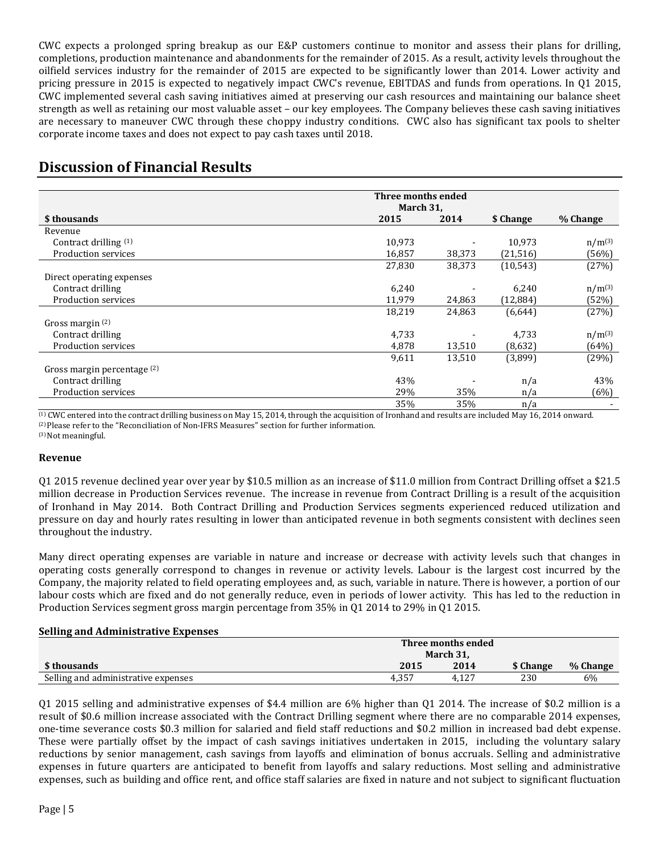CWC expects a prolonged spring breakup as our E&P customers continue to monitor and assess their plans for drilling, completions, production maintenance and abandonments for the remainder of 2015. As a result, activity levels throughout the oilfield services industry for the remainder of 2015 are expected to be significantly lower than 2014. Lower activity and pricing pressure in 2015 is expected to negatively impact CWC's revenue, EBITDAS and funds from operations. In Q1 2015, CWC implemented several cash saving initiatives aimed at preserving our cash resources and maintaining our balance sheet strength as well as retaining our most valuable asset – our key employees. The Company believes these cash saving initiatives are necessary to maneuver CWC through these choppy industry conditions. CWC also has significant tax pools to shelter corporate income taxes and does not expect to pay cash taxes until 2018.

## **Discussion of Financial Results**

|                             | Three months ended |        |           |             |  |
|-----------------------------|--------------------|--------|-----------|-------------|--|
|                             | March 31,          |        |           |             |  |
| \$ thousands                | 2015               | 2014   | \$ Change | % Change    |  |
| Revenue                     |                    |        |           |             |  |
| Contract drilling (1)       | 10,973             |        | 10,973    | $n/m^{(3)}$ |  |
| Production services         | 16,857             | 38,373 | (21,516)  | (56%)       |  |
|                             | 27,830             | 38,373 | (10, 543) | (27%)       |  |
| Direct operating expenses   |                    |        |           |             |  |
| Contract drilling           | 6,240              |        | 6,240     | $n/m^{(3)}$ |  |
| Production services         | 11,979             | 24,863 | (12, 884) | (52%)       |  |
|                             | 18,219             | 24,863 | (6,644)   | (27%)       |  |
| Gross margin $(2)$          |                    |        |           |             |  |
| Contract drilling           | 4,733              |        | 4,733     | $n/m^{(3)}$ |  |
| Production services         | 4,878              | 13,510 | (8,632)   | (64%)       |  |
|                             | 9,611              | 13,510 | (3,899)   | (29%)       |  |
| Gross margin percentage (2) |                    |        |           |             |  |
| Contract drilling           | 43%                |        | n/a       | 43%         |  |
| Production services         | 29%                | 35%    | n/a       | (6%)        |  |
|                             | 35%                | 35%    | n/a       |             |  |

(1) CWC entered into the contract drilling business on May 15, 2014, through the acquisition of Ironhand and results are included May 16, 2014 onward. (2) Please refer to the "Reconciliation of Non-IFRS Measures" section for further information. (3) Not meaningful.

### **Revenue**

Q1 2015 revenue declined year over year by \$10.5 million as an increase of \$11.0 million from Contract Drilling offset a \$21.5 million decrease in Production Services revenue. The increase in revenue from Contract Drilling is a result of the acquisition of Ironhand in May 2014. Both Contract Drilling and Production Services segments experienced reduced utilization and pressure on day and hourly rates resulting in lower than anticipated revenue in both segments consistent with declines seen throughout the industry.

Many direct operating expenses are variable in nature and increase or decrease with activity levels such that changes in operating costs generally correspond to changes in revenue or activity levels. Labour is the largest cost incurred by the Company, the majority related to field operating employees and, as such, variable in nature. There is however, a portion of our labour costs which are fixed and do not generally reduce, even in periods of lower activity. This has led to the reduction in Production Services segment gross margin percentage from 35% in Q1 2014 to 29% in Q1 2015.

### **Selling and Administrative Expenses**

|                                     | Three months ended |       |           |          |  |  |
|-------------------------------------|--------------------|-------|-----------|----------|--|--|
|                                     | March 31,          |       |           |          |  |  |
| \$ thousands                        | 2015               | 2014  | \$ Change | % Change |  |  |
| Selling and administrative expenses | 4.357              | 4.127 | 230       | 6%       |  |  |

Q1 2015 selling and administrative expenses of \$4.4 million are 6% higher than Q1 2014. The increase of \$0.2 million is a result of \$0.6 million increase associated with the Contract Drilling segment where there are no comparable 2014 expenses, one-time severance costs \$0.3 million for salaried and field staff reductions and \$0.2 million in increased bad debt expense. These were partially offset by the impact of cash savings initiatives undertaken in 2015, including the voluntary salary reductions by senior management, cash savings from layoffs and elimination of bonus accruals. Selling and administrative expenses in future quarters are anticipated to benefit from layoffs and salary reductions. Most selling and administrative expenses, such as building and office rent, and office staff salaries are fixed in nature and not subject to significant fluctuation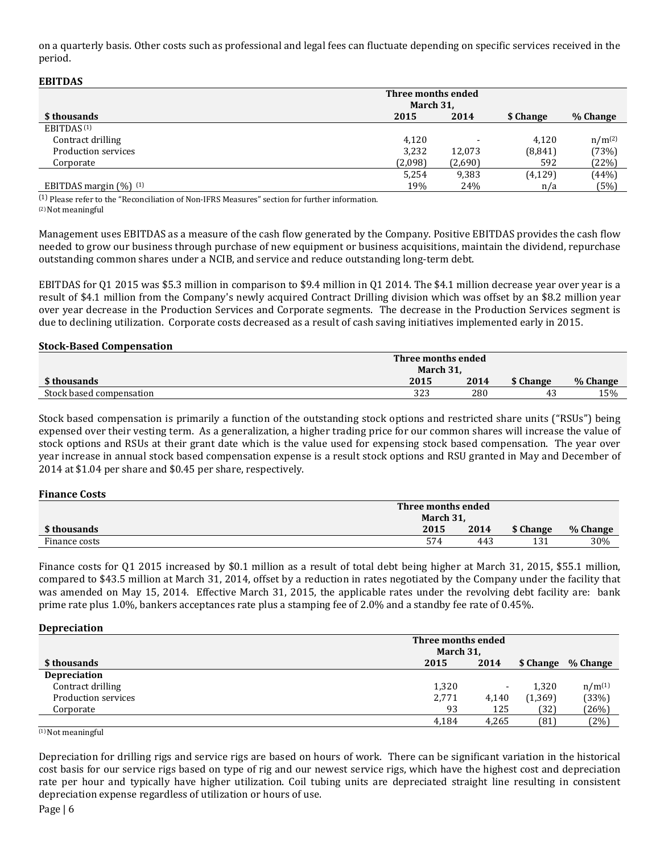on a quarterly basis. Other costs such as professional and legal fees can fluctuate depending on specific services received in the period.

#### **EBITDAS**

|                             | Three months ended<br>March 31, |         |           |             |  |
|-----------------------------|---------------------------------|---------|-----------|-------------|--|
| \$ thousands                | 2015                            | 2014    | \$ Change | % Change    |  |
| EBITDAS <sup>(1)</sup>      |                                 |         |           |             |  |
| Contract drilling           | 4,120                           |         | 4.120     | $n/m^{(2)}$ |  |
| Production services         | 3,232                           | 12,073  | (8, 841)  | (73%)       |  |
| Corporate                   | (2,098)                         | (2,690) | 592       | (22%)       |  |
|                             | 5,254                           | 9,383   | (4, 129)  | (44%)       |  |
| EBITDAS margin $(\%)$ $(1)$ | 19%                             | 24%     | n/a       | (5%)        |  |

(1) Please refer to the "Reconciliation of Non-IFRS Measures" section for further information.

(2) Not meaningful

Management uses EBITDAS as a measure of the cash flow generated by the Company. Positive EBITDAS provides the cash flow needed to grow our business through purchase of new equipment or business acquisitions, maintain the dividend, repurchase outstanding common shares under a NCIB, and service and reduce outstanding long-term debt.

EBITDAS for Q1 2015 was \$5.3 million in comparison to \$9.4 million in Q1 2014. The \$4.1 million decrease year over year is a result of \$4.1 million from the Company's newly acquired Contract Drilling division which was offset by an \$8.2 million year over year decrease in the Production Services and Corporate segments. The decrease in the Production Services segment is due to declining utilization. Corporate costs decreased as a result of cash saving initiatives implemented early in 2015.

#### **Stock-Based Compensation**

|                          | Three months ended<br>March 31, |      |           |          |
|--------------------------|---------------------------------|------|-----------|----------|
| \$ thousands             | 2015                            | 2014 | \$ Change | % Change |
| Stock based compensation | 323                             | 280  | 43        | 15%      |

Stock based compensation is primarily a function of the outstanding stock options and restricted share units ("RSUs") being expensed over their vesting term. As a generalization, a higher trading price for our common shares will increase the value of stock options and RSUs at their grant date which is the value used for expensing stock based compensation. The year over year increase in annual stock based compensation expense is a result stock options and RSU granted in May and December of 2014 at \$1.04 per share and \$0.45 per share, respectively.

#### **Finance Costs**

|               | Three months ended |      |           |          |  |  |
|---------------|--------------------|------|-----------|----------|--|--|
|               | March 31,          |      |           |          |  |  |
| \$ thousands  | 2015               | 2014 | \$ Change | % Change |  |  |
| Finance costs | 574                | 443  | 121       | 30%      |  |  |

Finance costs for Q1 2015 increased by \$0.1 million as a result of total debt being higher at March 31, 2015, \$55.1 million, compared to \$43.5 million at March 31, 2014, offset by a reduction in rates negotiated by the Company under the facility that was amended on May 15, 2014. Effective March 31, 2015, the applicable rates under the revolving debt facility are: bank prime rate plus 1.0%, bankers acceptances rate plus a stamping fee of 2.0% and a standby fee rate of 0.45%.

#### **Depreciation**

|                     | Three months ended<br>March 31, |       |           |             |
|---------------------|---------------------------------|-------|-----------|-------------|
| \$ thousands        | 2015                            | 2014  | \$ Change | % Change    |
| <b>Depreciation</b> |                                 |       |           |             |
| Contract drilling   | 1,320                           | ۰     | 1,320     | $n/m^{(1)}$ |
| Production services | 2,771                           | 4,140 | (1,369)   | (33%)       |
| Corporate           | 93                              | 125   | (32)      | (26%)       |
|                     | 4.184                           | 4,265 | (81)      | (2%)        |

 $\overline{^{(1)}$  Not meaningful

Depreciation for drilling rigs and service rigs are based on hours of work. There can be significant variation in the historical cost basis for our service rigs based on type of rig and our newest service rigs, which have the highest cost and depreciation rate per hour and typically have higher utilization. Coil tubing units are depreciated straight line resulting in consistent depreciation expense regardless of utilization or hours of use.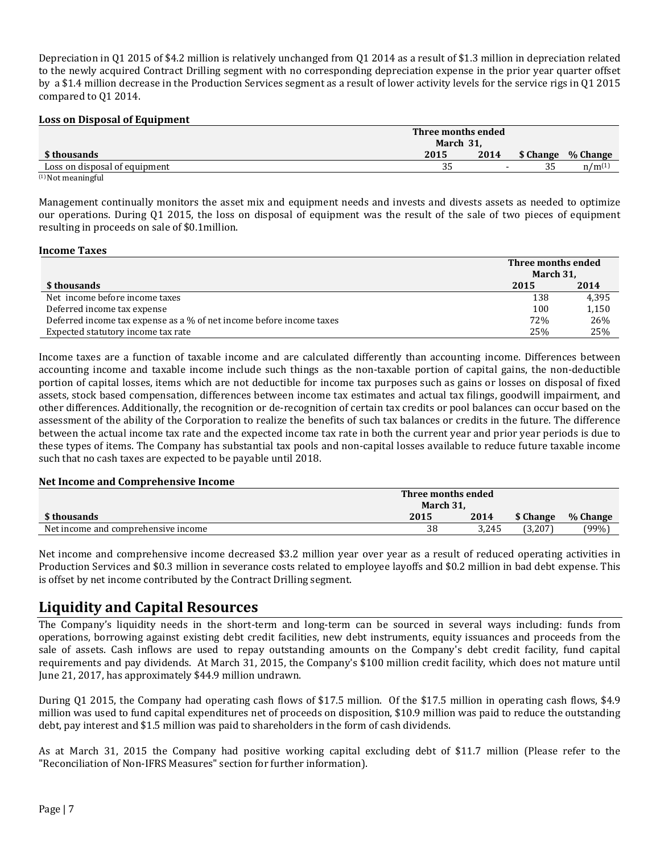Depreciation in Q1 2015 of \$4.2 million is relatively unchanged from Q1 2014 as a result of \$1.3 million in depreciation related to the newly acquired Contract Drilling segment with no corresponding depreciation expense in the prior year quarter offset by a \$1.4 million decrease in the Production Services segment as a result of lower activity levels for the service rigs in Q1 2015 compared to Q1 2014.

### **Loss on Disposal of Equipment**

|                               | Three months ended |        |           |             |  |  |
|-------------------------------|--------------------|--------|-----------|-------------|--|--|
|                               | March 31,          |        |           |             |  |  |
| \$ thousands                  | 2015               | 2014   | \$ Change | % Change    |  |  |
| Loss on disposal of equipment | 35                 | $\sim$ | 35        | $n/m^{(1)}$ |  |  |
| $(1)$ Not meaningful          |                    |        |           |             |  |  |

Management continually monitors the asset mix and equipment needs and invests and divests assets as needed to optimize our operations. During Q1 2015, the loss on disposal of equipment was the result of the sale of two pieces of equipment resulting in proceeds on sale of \$0.1million.

#### **Income Taxes**

|                                                                      | Three months ended<br>March 31, |       |
|----------------------------------------------------------------------|---------------------------------|-------|
| \$ thousands                                                         | 2015                            | 2014  |
| Net income before income taxes                                       | 138                             | 4,395 |
| Deferred income tax expense                                          | 100                             | 1,150 |
| Deferred income tax expense as a % of net income before income taxes | 72%                             | 26%   |
| Expected statutory income tax rate                                   | 25%                             | 25%   |

Income taxes are a function of taxable income and are calculated differently than accounting income. Differences between accounting income and taxable income include such things as the non-taxable portion of capital gains, the non-deductible portion of capital losses, items which are not deductible for income tax purposes such as gains or losses on disposal of fixed assets, stock based compensation, differences between income tax estimates and actual tax filings, goodwill impairment, and other differences. Additionally, the recognition or de-recognition of certain tax credits or pool balances can occur based on the assessment of the ability of the Corporation to realize the benefits of such tax balances or credits in the future. The difference between the actual income tax rate and the expected income tax rate in both the current year and prior year periods is due to these types of items. The Company has substantial tax pools and non-capital losses available to reduce future taxable income such that no cash taxes are expected to be payable until 2018.

### **Net Income and Comprehensive Income**

|                                     | Three months ended |       |           |          |  |
|-------------------------------------|--------------------|-------|-----------|----------|--|
|                                     | March 31.          |       |           |          |  |
| \$ thousands                        | 2015               | 2014  | \$ Change | % Change |  |
| Net income and comprehensive income | 38                 | 3.245 | (3,207    | $(99\%)$ |  |

Net income and comprehensive income decreased \$3.2 million year over year as a result of reduced operating activities in Production Services and \$0.3 million in severance costs related to employee layoffs and \$0.2 million in bad debt expense. This is offset by net income contributed by the Contract Drilling segment.

### **Liquidity and Capital Resources**

The Company's liquidity needs in the short-term and long-term can be sourced in several ways including: funds from operations, borrowing against existing debt credit facilities, new debt instruments, equity issuances and proceeds from the sale of assets. Cash inflows are used to repay outstanding amounts on the Company's debt credit facility, fund capital requirements and pay dividends. At March 31, 2015, the Company's \$100 million credit facility, which does not mature until June 21, 2017, has approximately \$44.9 million undrawn.

During Q1 2015, the Company had operating cash flows of \$17.5 million. Of the \$17.5 million in operating cash flows, \$4.9 million was used to fund capital expenditures net of proceeds on disposition, \$10.9 million was paid to reduce the outstanding debt, pay interest and \$1.5 million was paid to shareholders in the form of cash dividends.

As at March 31, 2015 the Company had positive working capital excluding debt of \$11.7 million (Please refer to the "Reconciliation of Non-IFRS Measures" section for further information).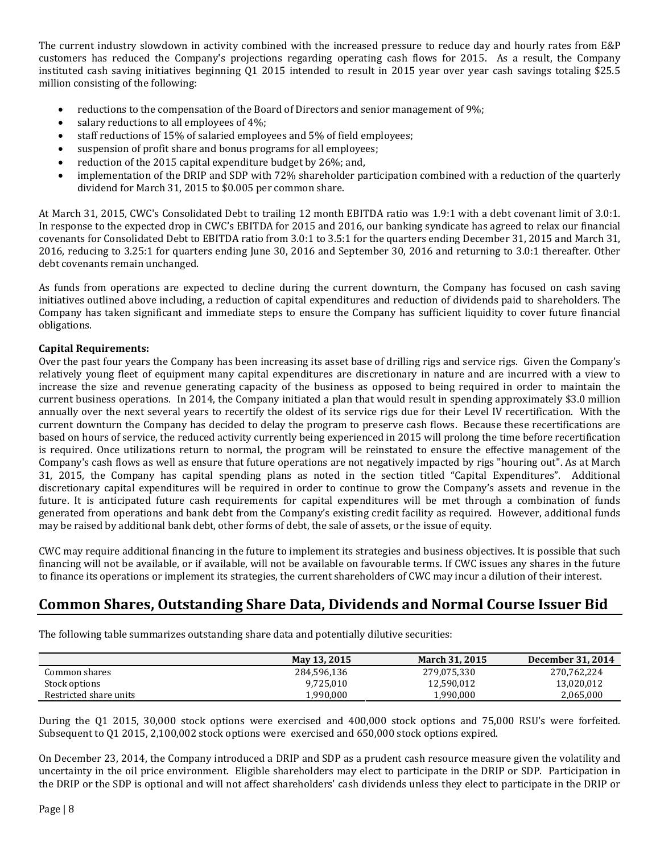The current industry slowdown in activity combined with the increased pressure to reduce day and hourly rates from E&P customers has reduced the Company's projections regarding operating cash flows for 2015. As a result, the Company instituted cash saving initiatives beginning Q1 2015 intended to result in 2015 year over year cash savings totaling \$25.5 million consisting of the following:

- reductions to the compensation of the Board of Directors and senior management of 9%;
- salary reductions to all employees of 4%;
- staff reductions of 15% of salaried employees and 5% of field employees;
- suspension of profit share and bonus programs for all employees;
- reduction of the 2015 capital expenditure budget by 26%; and,
- implementation of the DRIP and SDP with 72% shareholder participation combined with a reduction of the quarterly dividend for March 31, 2015 to \$0.005 per common share.

At March 31, 2015, CWC's Consolidated Debt to trailing 12 month EBITDA ratio was 1.9:1 with a debt covenant limit of 3.0:1. In response to the expected drop in CWC's EBITDA for 2015 and 2016, our banking syndicate has agreed to relax our financial covenants for Consolidated Debt to EBITDA ratio from 3.0:1 to 3.5:1 for the quarters ending December 31, 2015 and March 31, 2016, reducing to 3.25:1 for quarters ending June 30, 2016 and September 30, 2016 and returning to 3.0:1 thereafter. Other debt covenants remain unchanged.

As funds from operations are expected to decline during the current downturn, the Company has focused on cash saving initiatives outlined above including, a reduction of capital expenditures and reduction of dividends paid to shareholders. The Company has taken significant and immediate steps to ensure the Company has sufficient liquidity to cover future financial obligations.

### **Capital Requirements:**

Over the past four years the Company has been increasing its asset base of drilling rigs and service rigs. Given the Company's relatively young fleet of equipment many capital expenditures are discretionary in nature and are incurred with a view to increase the size and revenue generating capacity of the business as opposed to being required in order to maintain the current business operations. In 2014, the Company initiated a plan that would result in spending approximately \$3.0 million annually over the next several years to recertify the oldest of its service rigs due for their Level IV recertification. With the current downturn the Company has decided to delay the program to preserve cash flows. Because these recertifications are based on hours of service, the reduced activity currently being experienced in 2015 will prolong the time before recertification is required. Once utilizations return to normal, the program will be reinstated to ensure the effective management of the Company's cash flows as well as ensure that future operations are not negatively impacted by rigs "houring out". As at March 31, 2015, the Company has capital spending plans as noted in the section titled "Capital Expenditures". Additional discretionary capital expenditures will be required in order to continue to grow the Company's assets and revenue in the future. It is anticipated future cash requirements for capital expenditures will be met through a combination of funds generated from operations and bank debt from the Company's existing credit facility as required. However, additional funds may be raised by additional bank debt, other forms of debt, the sale of assets, or the issue of equity.

CWC may require additional financing in the future to implement its strategies and business objectives. It is possible that such financing will not be available, or if available, will not be available on favourable terms. If CWC issues any shares in the future to finance its operations or implement its strategies, the current shareholders of CWC may incur a dilution of their interest.

## **Common Shares, Outstanding Share Data, Dividends and Normal Course Issuer Bid**

The following table summarizes outstanding share data and potentially dilutive securities:

|                        | May 13, 2015 | <b>March 31, 2015</b> | <b>December 31, 2014</b> |
|------------------------|--------------|-----------------------|--------------------------|
| Common shares          | 284.596.136  | 279,075,330           | 270.762.224              |
| Stock options          | 9,725,010    | 12.590.012            | 13,020,012               |
| Restricted share units | 1.990.000    | 990,000.              | 2,065,000                |

During the Q1 2015, 30,000 stock options were exercised and 400,000 stock options and 75,000 RSU's were forfeited. Subsequent to Q1 2015, 2,100,002 stock options were exercised and 650,000 stock options expired.

On December 23, 2014, the Company introduced a DRIP and SDP as a prudent cash resource measure given the volatility and uncertainty in the oil price environment. Eligible shareholders may elect to participate in the DRIP or SDP. Participation in the DRIP or the SDP is optional and will not affect shareholders' cash dividends unless they elect to participate in the DRIP or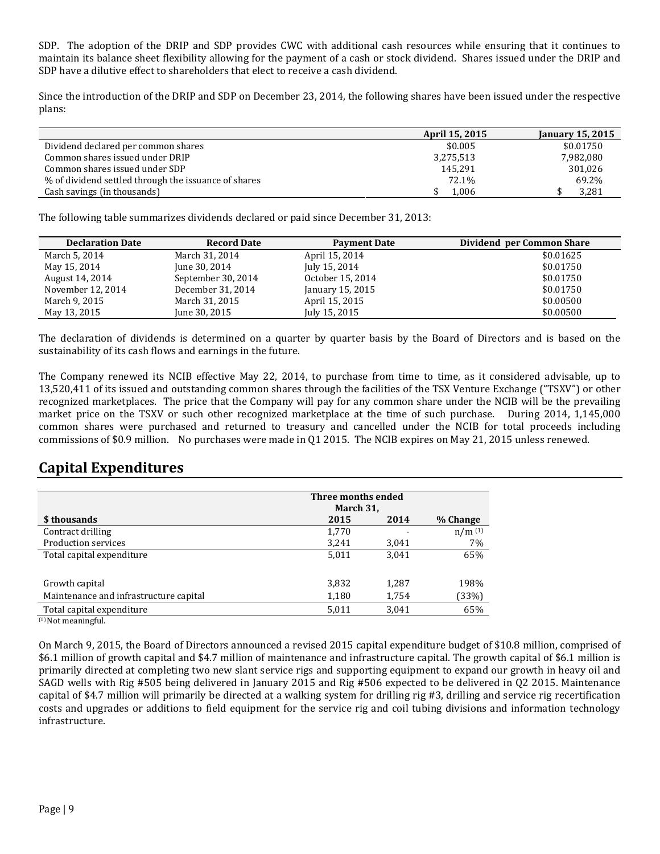SDP. The adoption of the DRIP and SDP provides CWC with additional cash resources while ensuring that it continues to maintain its balance sheet flexibility allowing for the payment of a cash or stock dividend. Shares issued under the DRIP and SDP have a dilutive effect to shareholders that elect to receive a cash dividend.

Since the introduction of the DRIP and SDP on December 23, 2014, the following shares have been issued under the respective plans:

|                                                      | April 15, 2015 | <b>January 15, 2015</b> |
|------------------------------------------------------|----------------|-------------------------|
| Dividend declared per common shares                  | \$0.005        | \$0.01750               |
| Common shares issued under DRIP                      | 3,275,513      | 7,982,080               |
| Common shares issued under SDP                       | 145.291        | 301,026                 |
| % of dividend settled through the issuance of shares | 72.1%          | 69.2%                   |
| Cash savings (in thousands)                          | 1.006          | 3,281                   |

The following table summarizes dividends declared or paid since December 31, 2013:

| <b>Declaration Date</b> | <b>Record Date</b> | <b>Payment Date</b> | Dividend per Common Share |
|-------------------------|--------------------|---------------------|---------------------------|
| March 5, 2014           | March 31, 2014     | April 15, 2014      | \$0.01625                 |
| May 15, 2014            | June 30, 2014      | July 15, 2014       | \$0.01750                 |
| August 14, 2014         | September 30, 2014 | October 15, 2014    | \$0.01750                 |
| November 12, 2014       | December 31, 2014  | January 15, 2015    | \$0.01750                 |
| March 9, 2015           | March 31, 2015     | April 15, 2015      | \$0.00500                 |
| May 13, 2015            | June 30, 2015      | July 15, 2015       | \$0.00500                 |

The declaration of dividends is determined on a quarter by quarter basis by the Board of Directors and is based on the sustainability of its cash flows and earnings in the future.

The Company renewed its NCIB effective May 22, 2014, to purchase from time to time, as it considered advisable, up to 13,520,411 of its issued and outstanding common shares through the facilities of the TSX Venture Exchange ("TSXV") or other recognized marketplaces. The price that the Company will pay for any common share under the NCIB will be the prevailing market price on the TSXV or such other recognized marketplace at the time of such purchase. During 2014, 1,145,000 common shares were purchased and returned to treasury and cancelled under the NCIB for total proceeds including commissions of \$0.9 million. No purchases were made in Q1 2015. The NCIB expires on May 21, 2015 unless renewed.

## **Capital Expenditures**

|                                        | Three months ended<br>March 31, |       |             |  |
|----------------------------------------|---------------------------------|-------|-------------|--|
| \$ thousands                           | 2015                            | 2014  | % Change    |  |
| Contract drilling                      | 1,770                           |       | $n/m^{(1)}$ |  |
| Production services                    | 3,241                           | 3,041 | 7%          |  |
| Total capital expenditure              | 5,011                           | 3,041 | 65%         |  |
| Growth capital                         | 3,832                           | 1,287 | 198%        |  |
| Maintenance and infrastructure capital | 1,180                           | 1,754 | (33%)       |  |
| Total capital expenditure              | 5,011                           | 3,041 | 65%         |  |

 $(1)$  Not meaningful.

On March 9, 2015, the Board of Directors announced a revised 2015 capital expenditure budget of \$10.8 million, comprised of \$6.1 million of growth capital and \$4.7 million of maintenance and infrastructure capital. The growth capital of \$6.1 million is primarily directed at completing two new slant service rigs and supporting equipment to expand our growth in heavy oil and SAGD wells with Rig #505 being delivered in January 2015 and Rig #506 expected to be delivered in Q2 2015. Maintenance capital of \$4.7 million will primarily be directed at a walking system for drilling rig #3, drilling and service rig recertification costs and upgrades or additions to field equipment for the service rig and coil tubing divisions and information technology infrastructure.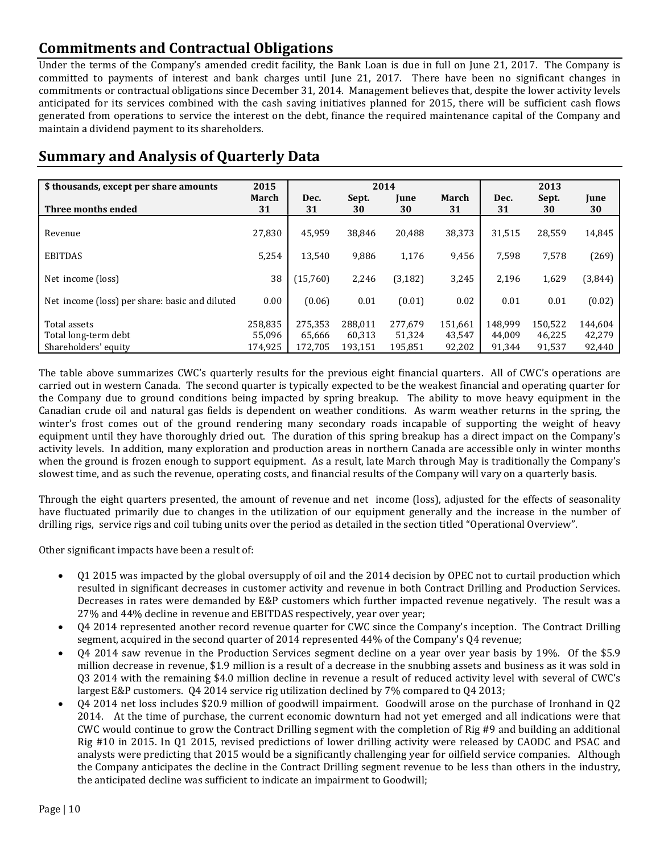# **Commitments and Contractual Obligations**

Under the terms of the Company's amended credit facility, the Bank Loan is due in full on June 21, 2017. The Company is committed to payments of interest and bank charges until June 21, 2017. There have been no significant changes in commitments or contractual obligations since December 31, 2014. Management believes that, despite the lower activity levels anticipated for its services combined with the cash saving initiatives planned for 2015, there will be sufficient cash flows generated from operations to service the interest on the debt, finance the required maintenance capital of the Company and maintain a dividend payment to its shareholders.

# **Summary and Analysis of Quarterly Data**

| Dec.<br>31<br>45,959 | Sept.<br>30<br>38,846 | <b>June</b><br>30 | March<br>31       | Dec.<br>31        | Sept.<br>30       | <b>June</b><br>30           |
|----------------------|-----------------------|-------------------|-------------------|-------------------|-------------------|-----------------------------|
|                      |                       |                   |                   |                   |                   |                             |
|                      |                       | 20,488            | 38,373            | 31,515            | 28,559            | 14,845                      |
| 13.540               | 9,886                 | 1,176             | 9,456             | 7,598             | 7,578             | (269)                       |
| (15,760)             | 2,246                 | (3, 182)          | 3,245             | 2,196             | 1,629             | (3, 844)                    |
| (0.06)               | 0.01                  | (0.01)            | 0.02              | 0.01              | 0.01              | (0.02)                      |
| 275.353<br>65.666    | 288.011<br>60.313     | 277.679<br>51.324 | 151.661<br>43.547 | 148.999<br>44.009 | 150.522<br>46.225 | 144,604<br>42,279<br>92,440 |
|                      | 172,705               | 193,151           | 195,851           | 92,202            | 91,344            | 91,537                      |

The table above summarizes CWC's quarterly results for the previous eight financial quarters. All of CWC's operations are carried out in western Canada. The second quarter is typically expected to be the weakest financial and operating quarter for the Company due to ground conditions being impacted by spring breakup. The ability to move heavy equipment in the Canadian crude oil and natural gas fields is dependent on weather conditions. As warm weather returns in the spring, the winter's frost comes out of the ground rendering many secondary roads incapable of supporting the weight of heavy equipment until they have thoroughly dried out. The duration of this spring breakup has a direct impact on the Company's activity levels. In addition, many exploration and production areas in northern Canada are accessible only in winter months when the ground is frozen enough to support equipment. As a result, late March through May is traditionally the Company's slowest time, and as such the revenue, operating costs, and financial results of the Company will vary on a quarterly basis.

Through the eight quarters presented, the amount of revenue and net income (loss), adjusted for the effects of seasonality have fluctuated primarily due to changes in the utilization of our equipment generally and the increase in the number of drilling rigs, service rigs and coil tubing units over the period as detailed in the section titled "Operational Overview".

Other significant impacts have been a result of:

- Q1 2015 was impacted by the global oversupply of oil and the 2014 decision by OPEC not to curtail production which resulted in significant decreases in customer activity and revenue in both Contract Drilling and Production Services. Decreases in rates were demanded by E&P customers which further impacted revenue negatively. The result was a 27% and 44% decline in revenue and EBITDAS respectively, year over year;
- Q4 2014 represented another record revenue quarter for CWC since the Company's inception. The Contract Drilling segment, acquired in the second quarter of 2014 represented 44% of the Company's Q4 revenue;
- Q4 2014 saw revenue in the Production Services segment decline on a year over year basis by 19%. Of the \$5.9 million decrease in revenue, \$1.9 million is a result of a decrease in the snubbing assets and business as it was sold in Q3 2014 with the remaining \$4.0 million decline in revenue a result of reduced activity level with several of CWC's largest E&P customers. Q4 2014 service rig utilization declined by 7% compared to Q4 2013;
- Q4 2014 net loss includes \$20.9 million of goodwill impairment. Goodwill arose on the purchase of Ironhand in Q2 2014. At the time of purchase, the current economic downturn had not yet emerged and all indications were that CWC would continue to grow the Contract Drilling segment with the completion of Rig #9 and building an additional Rig #10 in 2015. In Q1 2015, revised predictions of lower drilling activity were released by CAODC and PSAC and analysts were predicting that 2015 would be a significantly challenging year for oilfield service companies. Although the Company anticipates the decline in the Contract Drilling segment revenue to be less than others in the industry, the anticipated decline was sufficient to indicate an impairment to Goodwill;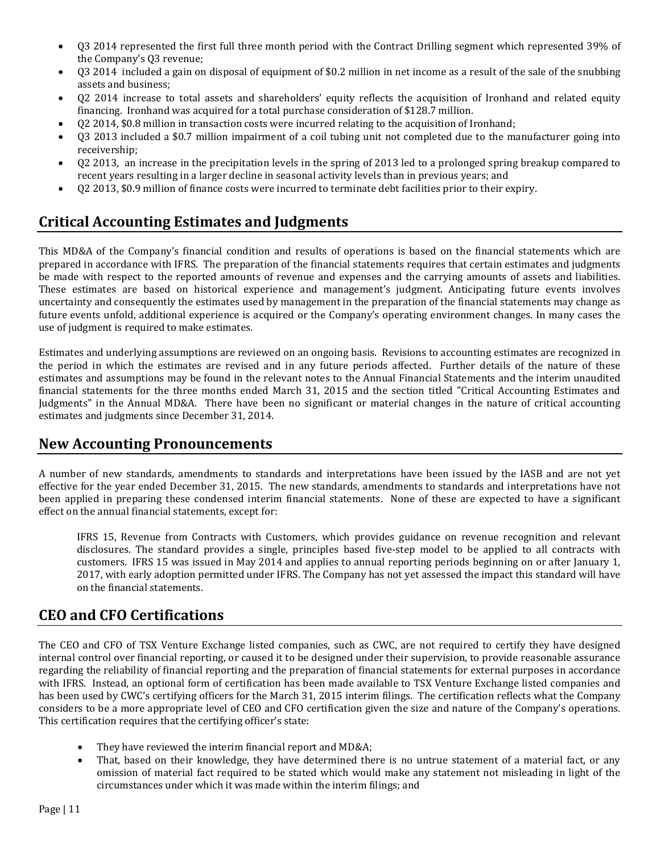- Q3 2014 represented the first full three month period with the Contract Drilling segment which represented 39% of the Company's Q3 revenue;
- Q3 2014 included a gain on disposal of equipment of \$0.2 million in net income as a result of the sale of the snubbing assets and business;
- Q2 2014 increase to total assets and shareholders' equity reflects the acquisition of Ironhand and related equity financing. Ironhand was acquired for a total purchase consideration of \$128.7 million.
- Q2 2014, \$0.8 million in transaction costs were incurred relating to the acquisition of Ironhand;
- Q3 2013 included a \$0.7 million impairment of a coil tubing unit not completed due to the manufacturer going into receivership;
- Q2 2013, an increase in the precipitation levels in the spring of 2013 led to a prolonged spring breakup compared to recent years resulting in a larger decline in seasonal activity levels than in previous years; and
- Q2 2013, \$0.9 million of finance costs were incurred to terminate debt facilities prior to their expiry.

# **Critical Accounting Estimates and Judgments**

This MD&A of the Company's financial condition and results of operations is based on the financial statements which are prepared in accordance with IFRS. The preparation of the financial statements requires that certain estimates and judgments be made with respect to the reported amounts of revenue and expenses and the carrying amounts of assets and liabilities. These estimates are based on historical experience and management's judgment. Anticipating future events involves uncertainty and consequently the estimates used by management in the preparation of the financial statements may change as future events unfold, additional experience is acquired or the Company's operating environment changes. In many cases the use of judgment is required to make estimates.

Estimates and underlying assumptions are reviewed on an ongoing basis. Revisions to accounting estimates are recognized in the period in which the estimates are revised and in any future periods affected. Further details of the nature of these estimates and assumptions may be found in the relevant notes to the Annual Financial Statements and the interim unaudited financial statements for the three months ended March 31, 2015 and the section titled "Critical Accounting Estimates and Judgments" in the Annual MD&A. There have been no significant or material changes in the nature of critical accounting estimates and judgments since December 31, 2014.

### **New Accounting Pronouncements**

A number of new standards, amendments to standards and interpretations have been issued by the IASB and are not yet effective for the year ended December 31, 2015. The new standards, amendments to standards and interpretations have not been applied in preparing these condensed interim financial statements. None of these are expected to have a significant effect on the annual financial statements, except for:

IFRS 15, Revenue from Contracts with Customers, which provides guidance on revenue recognition and relevant disclosures. The standard provides a single, principles based five-step model to be applied to all contracts with customers. IFRS 15 was issued in May 2014 and applies to annual reporting periods beginning on or after January 1, 2017, with early adoption permitted under IFRS. The Company has not yet assessed the impact this standard will have on the financial statements.

## **CEO and CFO Certifications**

The CEO and CFO of TSX Venture Exchange listed companies, such as CWC, are not required to certify they have designed internal control over financial reporting, or caused it to be designed under their supervision, to provide reasonable assurance regarding the reliability of financial reporting and the preparation of financial statements for external purposes in accordance with IFRS. Instead, an optional form of certification has been made available to TSX Venture Exchange listed companies and has been used by CWC's certifying officers for the March 31, 2015 interim filings. The certification reflects what the Company considers to be a more appropriate level of CEO and CFO certification given the size and nature of the Company's operations. This certification requires that the certifying officer's state:

- They have reviewed the interim financial report and MD&A;
- That, based on their knowledge, they have determined there is no untrue statement of a material fact, or any omission of material fact required to be stated which would make any statement not misleading in light of the circumstances under which it was made within the interim filings; and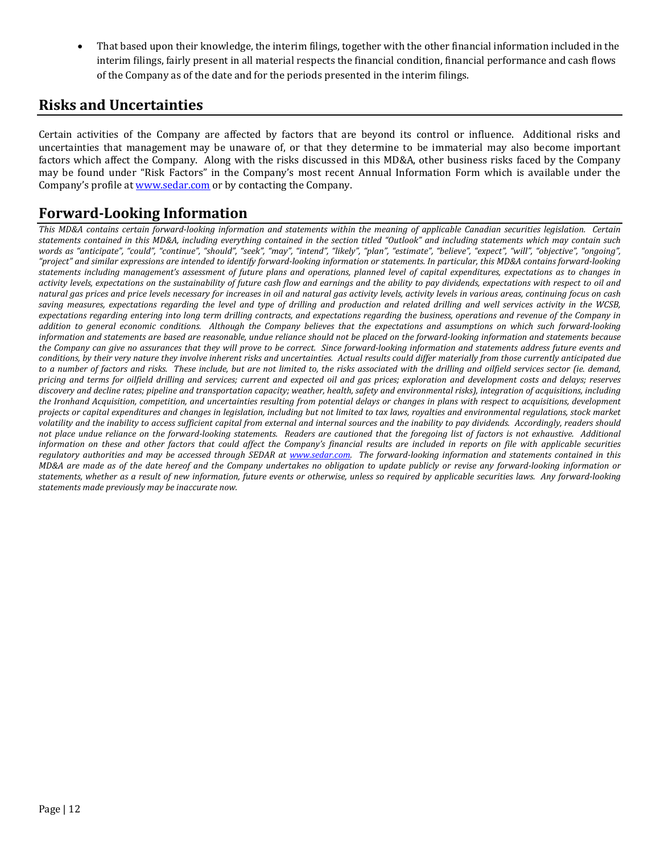• That based upon their knowledge, the interim filings, together with the other financial information included in the interim filings, fairly present in all material respects the financial condition, financial performance and cash flows of the Company as of the date and for the periods presented in the interim filings.

### **Risks and Uncertainties**

Certain activities of the Company are affected by factors that are beyond its control or influence. Additional risks and uncertainties that management may be unaware of, or that they determine to be immaterial may also become important factors which affect the Company. Along with the risks discussed in this MD&A, other business risks faced by the Company may be found under "Risk Factors" in the Company's most recent Annual Information Form which is available under the Company's profile at [www.sedar.com](http://www.sedar.com/) or by contacting the Company.

# **Forward-Looking Information**

*This MD&A contains certain forward-looking information and statements within the meaning of applicable Canadian securities legislation. Certain statements contained in this MD&A, including everything contained in the section titled "Outlook" and including statements which may contain such words as "anticipate", "could", "continue", "should", "seek", "may", "intend", "likely", "plan", "estimate", "believe", "expect", "will", "objective", "ongoing", "project" and similar expressions are intended to identify forward-looking information or statements. In particular, this MD&A contains forward-looking statements including management's assessment of future plans and operations, planned level of capital expenditures, expectations as to changes in activity levels, expectations on the sustainability of future cash flow and earnings and the ability to pay dividends, expectations with respect to oil and natural gas prices and price levels necessary for increases in oil and natural gas activity levels, activity levels in various areas, continuing focus on cash saving measures, expectations regarding the level and type of drilling and production and related drilling and well services activity in the WCSB, expectations regarding entering into long term drilling contracts, and expectations regarding the business, operations and revenue of the Company in addition to general economic conditions. Although the Company believes that the expectations and assumptions on which such forward-looking information and statements are based are reasonable, undue reliance should not be placed on the forward-looking information and statements because the Company can give no assurances that they will prove to be correct. Since forward-looking information and statements address future events and conditions, by their very nature they involve inherent risks and uncertainties. Actual results could differ materially from those currently anticipated due*  to a number of factors and risks. These include, but are not limited to, the risks associated with the drilling and oilfield services sector (ie. demand, *pricing and terms for oilfield drilling and services; current and expected oil and gas prices; exploration and development costs and delays; reserves discovery and decline rates; pipeline and transportation capacity; weather, health, safety and environmental risks), integration of acquisitions, including the Ironhand Acquisition, competition, and uncertainties resulting from potential delays or changes in plans with respect to acquisitions, development projects or capital expenditures and changes in legislation, including but not limited to tax laws, royalties and environmental regulations, stock market volatility and the inability to access sufficient capital from external and internal sources and the inability to pay dividends. Accordingly, readers should not place undue reliance on the forward-looking statements. Readers are cautioned that the foregoing list of factors is not exhaustive. Additional information on these and other factors that could affect the Company's financial results are included in reports on file with applicable securities regulatory authorities and may be accessed through SEDAR at [www.sedar.com.](http://www.sedar.com/) The forward-looking information and statements contained in this MD&A are made as of the date hereof and the Company undertakes no obligation to update publicly or revise any forward-looking information or statements, whether as a result of new information, future events or otherwise, unless so required by applicable securities laws. Any forward-looking statements made previously may be inaccurate now.*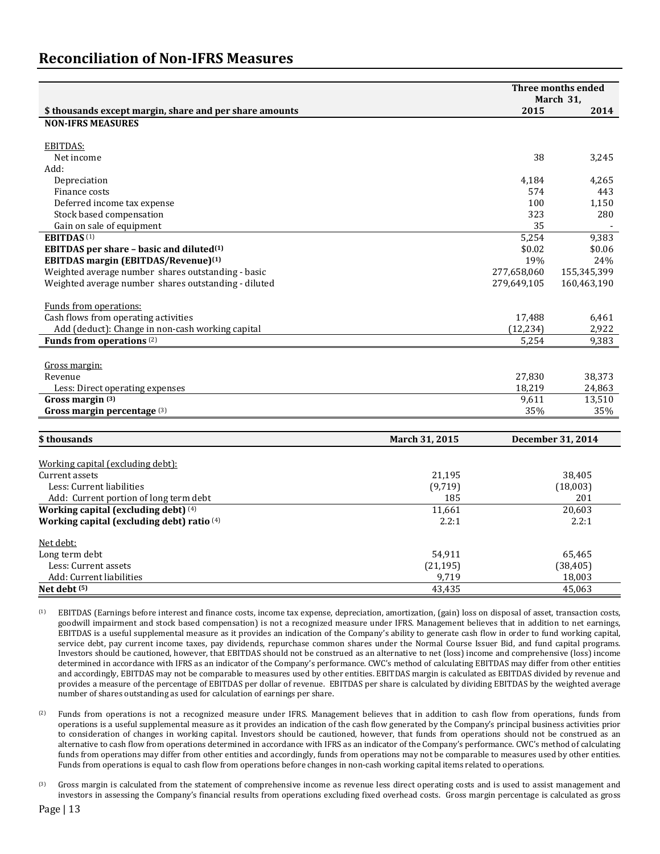|                                                         |                | <b>Three months ended</b><br>March 31. |                   |  |
|---------------------------------------------------------|----------------|----------------------------------------|-------------------|--|
| \$ thousands except margin, share and per share amounts |                | 2015                                   | 2014              |  |
| <b>NON-IFRS MEASURES</b>                                |                |                                        |                   |  |
| EBITDAS:                                                |                |                                        |                   |  |
| Net income                                              |                | 38                                     | 3,245             |  |
| Add:                                                    |                |                                        |                   |  |
| Depreciation                                            |                | 4,184                                  | 4,265             |  |
| Finance costs                                           |                | 574                                    | 443               |  |
| Deferred income tax expense                             |                | 100                                    | 1,150             |  |
| Stock based compensation                                |                | 323                                    | 280               |  |
| Gain on sale of equipment                               |                | 35                                     |                   |  |
| <b>EBITDAS</b> <sup>(1)</sup>                           |                | 5,254                                  | 9,383             |  |
| EBITDAS per share - basic and diluted <sup>(1)</sup>    |                | \$0.02                                 | \$0.06            |  |
| EBITDAS margin (EBITDAS/Revenue)(1)                     |                | 19%                                    | 24%               |  |
| Weighted average number shares outstanding - basic      |                | 277,658,060                            | 155,345,399       |  |
| Weighted average number shares outstanding - diluted    |                | 279,649,105                            | 160,463,190       |  |
| <b>Funds from operations:</b>                           |                |                                        |                   |  |
| Cash flows from operating activities                    |                | 17,488                                 | 6,461             |  |
| Add (deduct): Change in non-cash working capital        |                | (12, 234)                              | 2,922             |  |
| Funds from operations <sup>(2)</sup>                    |                | 5,254                                  | 9,383             |  |
|                                                         |                |                                        |                   |  |
| Gross margin:                                           |                |                                        |                   |  |
| Revenue                                                 |                | 27,830                                 | 38,373            |  |
| Less: Direct operating expenses                         |                | 18,219                                 | 24,863            |  |
| Gross margin (3)                                        |                | 9,611                                  | 13,510            |  |
| Gross margin percentage (3)                             |                | 35%                                    | 35%               |  |
|                                                         |                |                                        |                   |  |
| \$ thousands                                            | March 31, 2015 |                                        | December 31, 2014 |  |
| Working capital (excluding debt):                       |                |                                        |                   |  |
| Current assets                                          | 21,195         |                                        | 38,405            |  |
| Less: Current liabilities                               | (9,719)        |                                        | (18,003)          |  |
| Add: Current portion of long term debt                  | 185            |                                        | 201               |  |
| Working capital (excluding debt) (4)                    | 11,661         |                                        | 20,603            |  |
| Working capital (excluding debt) ratio <sup>(4)</sup>   | 2.2:1          |                                        | 2.2:1             |  |
| Net debt:                                               |                |                                        |                   |  |
| Long term debt                                          | 54,911         |                                        | 65,465            |  |
| Less: Current assets                                    | (21, 195)      |                                        | (38, 405)         |  |
| Add: Current liabilities                                | 9,719          |                                        | 18,003            |  |
| Net debt (5)                                            | 43,435         |                                        | 45,063            |  |
|                                                         |                |                                        |                   |  |

EBITDAS (Earnings before interest and finance costs, income tax expense, depreciation, amortization, (gain) loss on disposal of asset, transaction costs, goodwill impairment and stock based compensation) is not a recognized measure under IFRS. Management believes that in addition to net earnings, EBITDAS is a useful supplemental measure as it provides an indication of the Company's ability to generate cash flow in order to fund working capital, service debt, pay current income taxes, pay dividends, repurchase common shares under the Normal Course Issuer Bid, and fund capital programs. Investors should be cautioned, however, that EBITDAS should not be construed as an alternative to net (loss) income and comprehensive (loss) income determined in accordance with IFRS as an indicator of the Company's performance. CWC's method of calculating EBITDAS may differ from other entities and accordingly, EBITDAS may not be comparable to measures used by other entities. EBITDAS margin is calculated as EBITDAS divided by revenue and provides a measure of the percentage of EBITDAS per dollar of revenue. EBITDAS per share is calculated by dividing EBITDAS by the weighted average number of shares outstanding as used for calculation of earnings per share.

(2) Funds from operations is not a recognized measure under IFRS. Management believes that in addition to cash flow from operations, funds from operations is a useful supplemental measure as it provides an indication of the cash flow generated by the Company's principal business activities prior to consideration of changes in working capital. Investors should be cautioned, however, that funds from operations should not be construed as an alternative to cash flow from operations determined in accordance with IFRS as an indicator of the Company's performance. CWC's method of calculating funds from operations may differ from other entities and accordingly, funds from operations may not be comparable to measures used by other entities. Funds from operations is equal to cash flow from operations before changes in non-cash working capital items related to operations.

(3) Gross margin is calculated from the statement of comprehensive income as revenue less direct operating costs and is used to assist management and investors in assessing the Company's financial results from operations excluding fixed overhead costs. Gross margin percentage is calculated as gross